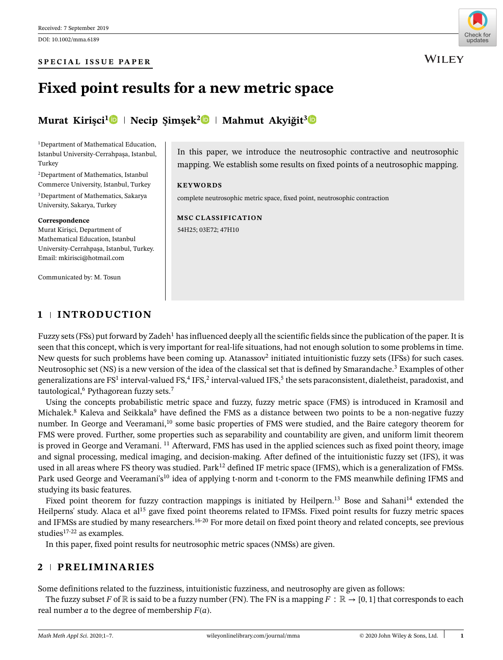#### **SPECIAL ISSUE PAPER**



**WILEY** 

# **Fixed point results for a new metric space**

# **Murat Kirişci<sup>[1](https://orcid.org/0000-0003-4938-5207)</sup> • Necip Şimşek<sup>[2](https://orcid.org/0000-0003-3061-5770)</sup> • Mahmut Akyiğit<sup>[3](https://orcid.org/0000-0002-8398-365X)</sup> •**

<sup>1</sup>Department of Mathematical Education, Istanbul University-Cerrahpasa, Istanbul, Turkey

2Department of Mathematics, Istanbul Commerce University, Istanbul, Turkey

3Department of Mathematics, Sakarya University, Sakarya, Turkey

#### **Correspondence**

Murat Kirişci, Department of Mathematical Education, Istanbul University-Cerrahpaşa, Istanbul, Turkey. Email: mkirisci@hotmail.com

**1 INTRODUCTION**

Communicated by: M. Tosun

In this paper, we introduce the neutrosophic contractive and neutrosophic mapping. We establish some results on fixed points of a neutrosophic mapping.

#### **KEYWORDS**

complete neutrosophic metric space, fixed point, neutrosophic contraction

**MSC CLASSIFICATION** 54H25; 03E72; 47H10

Fuzzy sets (FSs) put forward by Zadeh<sup>1</sup> has influenced deeply all the scientific fields since the publication of the paper. It is seen that this concept, which is very important for real-life situations, had not enough solution to some problems in time. New quests for such problems have been coming up. Atanassov<sup>2</sup> initiated intuitionistic fuzzy sets (IFSs) for such cases. Neutrosophic set (NS) is a new version of the idea of the classical set that is defined by Smarandache.<sup>3</sup> Examples of other generalizations are  $FS<sup>1</sup>$  interval-valued  $FS<sup>2</sup>$ , interval-valued IFS,<sup>5</sup> the sets paraconsistent, dialetheist, paradoxist, and tautological,<sup>6</sup> Pythagorean fuzzy sets.<sup>7</sup>

Using the concepts probabilistic metric space and fuzzy, fuzzy metric space (FMS) is introduced in Kramosil and Michalek.<sup>8</sup> Kaleva and Seikkala<sup>9</sup> have defined the FMS as a distance between two points to be a non-negative fuzzy number. In George and Veeramani,<sup>10</sup> some basic properties of FMS were studied, and the Baire category theorem for FMS were proved. Further, some properties such as separability and countability are given, and uniform limit theorem is proved in George and Veramani. <sup>11</sup> Afterward, FMS has used in the applied sciences such as fixed point theory, image and signal processing, medical imaging, and decision-making. After defined of the intuitionistic fuzzy set (IFS), it was used in all areas where FS theory was studied. Park<sup>12</sup> defined IF metric space (IFMS), which is a generalization of FMSs. Park used George and Veeramani's<sup>10</sup> idea of applying t-norm and t-conorm to the FMS meanwhile defining IFMS and studying its basic features.

Fixed point theorem for fuzzy contraction mappings is initiated by Heilpern.<sup>13</sup> Bose and Sahani<sup>14</sup> extended the Heilperns' study. Alaca et al<sup>15</sup> gave fixed point theorems related to IFMSs. Fixed point results for fuzzy metric spaces and IFMSs are studied by many researchers.<sup>16-20</sup> For more detail on fixed point theory and related concepts, see previous studies $17-22$  as examples.

In this paper, fixed point results for neutrosophic metric spaces (NMSs) are given.

# **2 PRELIMINARIES**

Some definitions related to the fuzziness, intuitionistic fuzziness, and neutrosophy are given as follows:

The fuzzy subset *F* of  $\mathbb R$  is said to be a fuzzy number (FN). The FN is a mapping  $F : \mathbb R \to [0,1]$  that corresponds to each real number  $a$  to the degree of membership  $F(a)$ .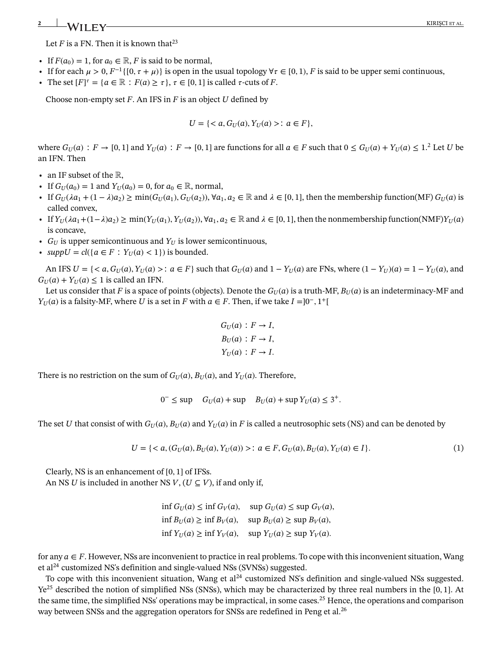# **2** KIRIŞCI ET AL. **KIRIŞCI ET AL.**

Let  $F$  is a FN. Then it is known that<sup>23</sup>

- If  $F(a_0) = 1$ , for  $a_0 \in \mathbb{R}$ , *F* is said to be normal,
- If for each  $\mu > 0$ ,  $F^{-1}\{(0, \tau + \mu)\}\$ is open in the usual topology  $\forall \tau \in [0, 1)$ , *F* is said to be upper semi continuous,
- The set  $[F]^{\tau} = \{a \in \mathbb{R} : F(a) \geq \tau\}, \tau \in [0, 1]$  is called  $\tau$ -cuts of *F*.

Choose non-empty set *F*. An IFS in *F* is an object *U* defined by

$$
U = \{ < a, G_U(a), Y_U(a) > : a \in F \},
$$

where  $G_U(a)$ :  $F \to [0,1]$  and  $Y_U(a)$ :  $F \to [0,1]$  are functions for all  $a \in F$  such that  $0 \le G_U(a) + Y_U(a) \le 1$ .<sup>2</sup> Let *U* be an IFN. Then

- **•** an IF subset of the R,
- If  $G_U(a_0) = 1$  and  $Y_U(a_0) = 0$ , for  $a_0 \in \mathbb{R}$ , normal,
- If  $G_U(\lambda a_1 + (1 \lambda)a_2) \ge \min(G_U(a_1), G_U(a_2))$ ,  $\forall a_1, a_2 \in \mathbb{R}$  and  $\lambda \in [0, 1]$ , then the membership function(MF)  $G_U(a)$  is called convex,
- **•** If  $Y_U(\lambda a_1 + (1-\lambda)a_2) \ge \min(Y_U(a_1), Y_U(a_2)), \forall a_1, a_2 \in \mathbb{R}$  and  $\lambda \in [0, 1]$ , then the nonmembership function(NMF) $Y_U(a)$ is concave,
- $G_U$  is upper semicontinuous and  $Y_U$  is lower semicontinuous,
- *suppU* =  $cl({a \in F : Y_U(a) < 1})$  is bounded.

An IFS  $U = \{ \langle a, G_U(a), Y_U(a) \rangle : a \in F \}$  such that  $G_U(a)$  and  $1 - Y_U(a)$  are FNs, where  $(1 - Y_U)(a) = 1 - Y_U(a)$ , and  $G_U(a) + Y_U(a) \leq 1$  is called an IFN.

Let us consider that *F* is a space of points (objects). Denote the  $G_U(a)$  is a truth-MF,  $B_U(a)$  is an indeterminacy-MF and *Y*<sub>*U*</sub>(*a*) is a falsity-MF, where *U* is a set in *F* with  $a \in F$ . Then, if we take  $I = ]0^-, 1^+]$ 

$$
G_U(a) : F \to I,
$$
  
\n
$$
B_U(a) : F \to I,
$$
  
\n
$$
Y_U(a) : F \to I.
$$

There is no restriction on the sum of  $G_U(a)$ ,  $B_U(a)$ , and  $Y_U(a)$ . Therefore,

$$
0^- \le \sup \quad G_U(a) + \sup \quad B_U(a) + \sup Y_U(a) \le 3^+.
$$

The set *U* that consist of with  $G_U(a)$ ,  $B_U(a)$  and  $Y_U(a)$  in *F* is called a neutrosophic sets (NS) and can be denoted by

$$
U = \{ < a, (G_U(a), B_U(a), Y_U(a)) > : a \in F, G_U(a), B_U(a), Y_U(a) \in I \}. \tag{1}
$$

Clearly, NS is an enhancement of [0*,* 1] of IFSs. An NS *U* is included in another NS  $V$ ,  $(U \subset V)$ , if and only if,

> $\inf G_U(a) \leq \inf G_V(a)$ ,  $\sup G_U(a) \leq \sup G_V(a)$ ,  $\inf B_U(a) \geq \inf B_V(a)$ ,  $\sup B_U(a) \geq \sup B_V(a)$ ,  $\inf Y_U(a) \geq \inf Y_V(a)$ ,  $\sup Y_U(a) \geq \sup Y_V(a)$ .

for any  $a \in F$ . However, NSs are inconvenient to practice in real problems. To cope with this inconvenient situation, Wang et al24 customized NS's definition and single-valued NSs (SVNSs) suggested.

To cope with this inconvenient situation, Wang et  $al^{24}$  customized NS's definition and single-valued NSs suggested. Ye25 described the notion of simplified NSs (SNSs), which may be characterized by three real numbers in the [0*,* 1]. At the same time, the simplified NSs' operations may be impractical, in some cases.<sup>25</sup> Hence, the operations and comparison way between SNSs and the aggregation operators for SNSs are redefined in Peng et al.<sup>26</sup>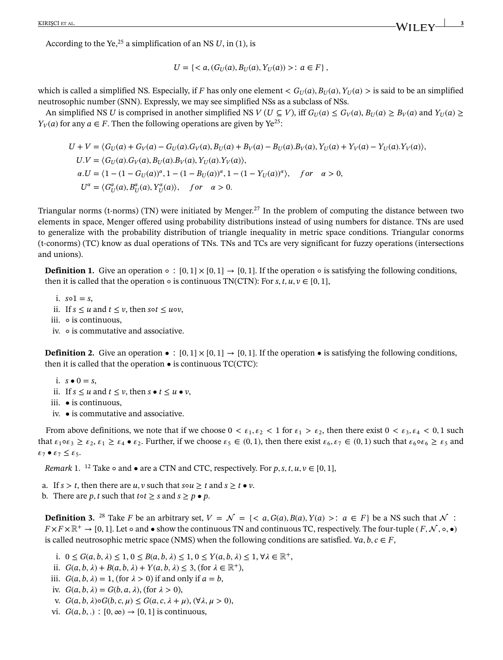According to the Ye,<sup>25</sup> a simplification of an NS  $U$ , in (1), is

$$
U = \{  \colon a \in F \} \,,
$$

which is called a simplified NS. Especially, if *F* has only one element  $\lt G_U(a), B_U(a), Y_U(a) >$  is said to be an simplified neutrosophic number (SNN). Expressly, we may see simplified NSs as a subclass of NSs.

An simplified NS *U* is comprised in another simplified NS  $V(U \subseteq V)$ , iff  $G_U(a) \leq G_V(a)$ ,  $B_U(a) \geq B_V(a)$  and  $Y_U(a) \geq$ *Y<sub>V</sub>*(*a*) for any *a*  $\in$  *F*. Then the following operations are given by Ye<sup>25</sup>:

$$
U + V = \langle G_U(a) + G_V(a) - G_U(a) \cdot G_V(a), B_U(a) + B_V(a) - B_U(a) \cdot B_V(a), Y_U(a) + Y_V(a) - Y_U(a) \cdot Y_V(a) \rangle,
$$
  
\n
$$
U.V = \langle G_U(a) \cdot G_V(a), B_U(a) \cdot B_V(a), Y_U(a) \cdot Y_V(a) \rangle,
$$
  
\n
$$
\alpha.U = \langle 1 - (1 - G_U(a))^{\alpha}, 1 - (1 - B_U(a))^{\alpha}, 1 - (1 - Y_U(a))^{\alpha} \rangle, \quad \text{for} \quad \alpha > 0,
$$
  
\n
$$
U^{\alpha} = \langle G_U^{\alpha}(a), B_U^{\alpha}(a), Y_U^{\alpha}(a) \rangle, \quad \text{for} \quad \alpha > 0.
$$

Triangular norms (t-norms) (TN) were initiated by Menger.<sup>27</sup> In the problem of computing the distance between two elements in space, Menger offered using probability distributions instead of using numbers for distance. TNs are used to generalize with the probability distribution of triangle inequality in metric space conditions. Triangular conorms (t-conorms) (TC) know as dual operations of TNs. TNs and TCs are very significant for fuzzy operations (intersections and unions).

**Definition 1.** Give an operation ∘ :  $[0,1] \times [0,1] \rightarrow [0,1]$ . If the operation ∘ is satisfying the following conditions, then it is called that the operation  $\circ$  is continuous TN(CTN): For *s*, *t*, *u*,  $v \in [0, 1]$ ,

- i.  $so1 = s$ ,
- ii. If  $s \le u$  and  $t \le v$ , then  $s \circ t \le u \circ v$ ,
- iii. is continuous,
- iv. is commutative and associative.

**Definition 2.** Give an operation  $\bullet$  :  $[0,1] \times [0,1] \rightarrow [0,1]$ . If the operation  $\bullet$  is satisfying the following conditions, then it is called that the operation  $\bullet$  is continuous TC(CTC):

- i.  $s \bullet 0 = s$ ,
- ii. If  $s \le u$  and  $t \le v$ , then  $s \bullet t \le u \bullet v$ ,
- iii. is continuous,
- iv. is commutative and associative.

From above definitions, we note that if we choose  $0 < \varepsilon_1, \varepsilon_2 < 1$  for  $\varepsilon_1 > \varepsilon_2$ , then there exist  $0 < \varepsilon_3, \varepsilon_4 < 0, 1$  such that  $\varepsilon_1 \circ \varepsilon_3 \ge \varepsilon_2$ ,  $\varepsilon_1 \ge \varepsilon_4 \bullet \varepsilon_2$ . Further, if we choose  $\varepsilon_5 \in (0,1)$ , then there exist  $\varepsilon_6, \varepsilon_7 \in (0,1)$  such that  $\varepsilon_6 \circ \varepsilon_6 \ge \varepsilon_5$  and  $\varepsilon_7 \bullet \varepsilon_7 \leq \varepsilon_5$ .

*Remark* 1. <sup>12</sup> Take  $\circ$  and  $\bullet$  are a CTN and CTC, respectively. For p, s, t,  $u, v \in [0, 1]$ ,

a. If  $s > t$ , then there are  $u, v$  such that  $s \circ u \geq t$  and  $s \geq t \cdot v$ .

b. There are *p*, *t* such that *t* $\circ$ *t*  $\geq$  *s* and *s*  $\geq$  *p*  $\bullet$  *p*.

**Definition 3.** <sup>28</sup> Take *F* be an arbitrary set,  $V = \mathcal{N} = \{ : a \in F \}$  be a NS such that  $\mathcal{N}$ :  $F \times F \times \mathbb{R}^+ \to [0, 1]$ . Let  $\circ$  and  $\bullet$  show the continuous TN and continuous TC, respectively. The four-tuple  $(F, \mathcal{N}, \circ, \bullet)$ is called neutrosophic metric space (NMS) when the following conditions are satisfied.  $\forall a, b, c \in F$ ,

- i. 0 ≤ *G*(*a*, *b*,  $\lambda$ ) ≤ 1, 0 ≤ *B*(*a*, *b*,  $\lambda$ ) ≤ 1, 0 ≤ *Y*(*a*, *b*,  $\lambda$ ) ≤ 1, ∀ $\lambda \in \mathbb{R}^+$ ,
- ii.  $G(a, b, \lambda) + B(a, b, \lambda) + Y(a, b, \lambda) \leq 3$ , (for  $\lambda \in \mathbb{R}^+$ ),
- iii.  $G(a, b, \lambda) = 1$ , (for  $\lambda > 0$ ) if and only if  $a = b$ ,
- iv.  $G(a, b, \lambda) = G(b, a, \lambda)$ , (for  $\lambda > 0$ ),
- v. *G*(*a*, *b*,  $λ) \circ G(b, c, μ) ≤ G(a, c, λ + μ)$ ,  $(∀λ, μ > 0)$ ,
- vi.  $G(a, b, .): [0, \infty) \rightarrow [0, 1]$  is continuous,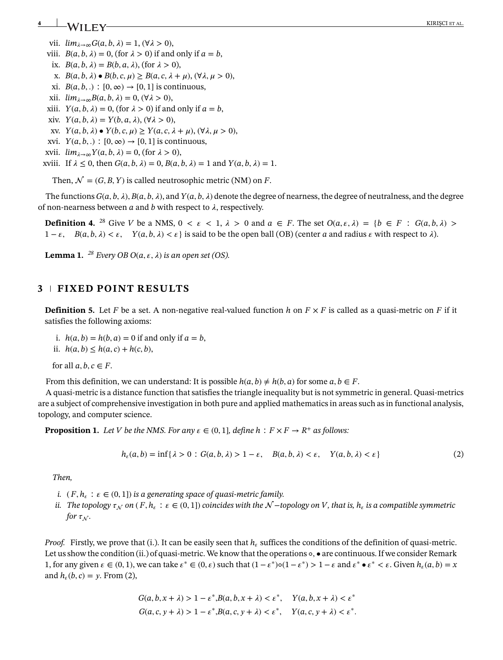# **4 EXALT IT V**

- vii.  $\lim_{\lambda \to \infty} G(a, b, \lambda) = 1$ ,  $(\forall \lambda > 0)$ ,
- viii.  $B(a, b, \lambda) = 0$ , (for  $\lambda > 0$ ) if and only if  $a = b$ ,
- ix.  $B(a, b, \lambda) = B(b, a, \lambda)$ , (for  $\lambda > 0$ ),
- x. *B*(*a, b, λ*) *B*(*b, c, µ*) ≥ *B*(*a, c, λ* + *µ*), (∀*λ*, *µ* > 0),
- xi.  $B(a, b, .): [0, \infty) \rightarrow [0, 1]$  is continuous,
- xii.  $\lim_{\lambda \to \infty} B(a, b, \lambda) = 0$ ,  $(\forall \lambda > 0)$ ,
- *xiii.*  $Y(a, b, \lambda) = 0$ , (for  $\lambda > 0$ ) if and only if  $a = b$ ,
- xiv.  $Y(a, b, \lambda) = Y(b, a, \lambda), (\forall \lambda > 0),$
- xv.  $Y(a, b, \lambda) \bullet Y(b, c, \mu) \geq Y(a, c, \lambda + \mu), (\forall \lambda, \mu > 0),$
- xvi.  $Y(a, b, .) : [0, \infty) \rightarrow [0, 1]$  is continuous,
- xvii.  $\lim_{\lambda \to \infty} Y(a, b, \lambda) = 0$ , (for  $\lambda > 0$ ),

xviii. If  $\lambda \leq 0$ , then  $G(a, b, \lambda) = 0$ ,  $B(a, b, \lambda) = 1$  and  $Y(a, b, \lambda) = 1$ .

Then,  $\mathcal{N} = (G, B, Y)$  is called neutrosophic metric (NM) on *F*.

The functions  $G(a, b, \lambda)$ ,  $B(a, b, \lambda)$ , and  $Y(a, b, \lambda)$  denote the degree of nearness, the degree of neutralness, and the degree of non-nearness between  $a$  and  $b$  with respect to  $\lambda$ , respectively.

**Definition 4.** <sup>28</sup> Give *V* be a NMS,  $0 \lt \varepsilon \lt 1$ ,  $\lambda > 0$  and  $a \in F$ . The set  $O(a, \varepsilon, \lambda) = \{b \in F : G(a, b, \lambda) >$  $1 - \varepsilon$ ,  $B(a, b, \lambda) < \varepsilon$ ,  $Y(a, b, \lambda) < \varepsilon$  is said to be the open ball (OB) (center *a* and radius  $\varepsilon$  with respect to  $\lambda$ ).

**Lemma 1.** <sup>28</sup> *Every OB O*( $a, \varepsilon, \lambda$ ) *is an open set* (OS).

## **3 FIXED POINT RESULTS**

**Definition 5.** Let F be a set. A non-negative real-valued function h on  $F \times F$  is called as a quasi-metric on F if it satisfies the following axioms:

- i.  $h(a, b) = h(b, a) = 0$  if and only if  $a = b$ ,
- ii.  $h(a, b) \leq h(a, c) + h(c, b)$ ,

for all  $a, b, c \in F$ .

From this definition, we can understand: It is possible  $h(a, b) \neq h(b, a)$  for some  $a, b \in F$ .

A quasi-metric is a distance function that satisfies the triangle inequality but is not symmetric in general. Quasi-metrics are a subject of comprehensive investigation in both pure and applied mathematics in areas such as in functional analysis, topology, and computer science.

**Proposition 1.** *Let V be the NMS. For any*  $\varepsilon \in (0,1]$ *, define h* :  $F \times F \to R^+$  *as follows:* 

$$
h_{\varepsilon}(a,b) = \inf\{\lambda > 0 : G(a,b,\lambda) > 1 - \varepsilon, \quad B(a,b,\lambda) < \varepsilon, \quad Y(a,b,\lambda) < \varepsilon\}
$$
 (2)

*Then,*

- *i.*  $(F, h_{\varepsilon} : \varepsilon \in (0, 1])$  *is a generating space of quasi-metric family.*
- *ii.* The topology  $\tau_N$  on (F,  $h_{\epsilon}$  :  $\epsilon \in (0,1]$ ) coincides with the  $\mathcal{N}-$ topology on V, that is,  $h_{\epsilon}$  is a compatible symmetric *for*  $\tau_N$ .

*Proof.* Firstly, we prove that (i.). It can be easily seen that  $h_{\epsilon}$  suffices the conditions of the definition of quasi-metric. Let us show the condition (ii.) of quasi-metric. We know that the operations ◦*,* • are continuous. If we consider Remark 1, for any given  $\varepsilon \in (0,1)$ , we can take  $\varepsilon^* \in (0,\varepsilon)$  such that  $(1-\varepsilon^*)\circ(1-\varepsilon^*) > 1-\varepsilon$  and  $\varepsilon^* \bullet \varepsilon^* < \varepsilon$ . Given  $h_{\varepsilon}(a,b) = x$ and  $h_{\epsilon}(b, c) = v$ . From (2),

$$
G(a, b, x + \lambda) > 1 - \varepsilon^* B(a, b, x + \lambda) < \varepsilon^*, \quad Y(a, b, x + \lambda) < \varepsilon^*
$$
\n
$$
G(a, c, y + \lambda) > 1 - \varepsilon^* B(a, c, y + \lambda) < \varepsilon^*, \quad Y(a, c, y + \lambda) < \varepsilon^*.
$$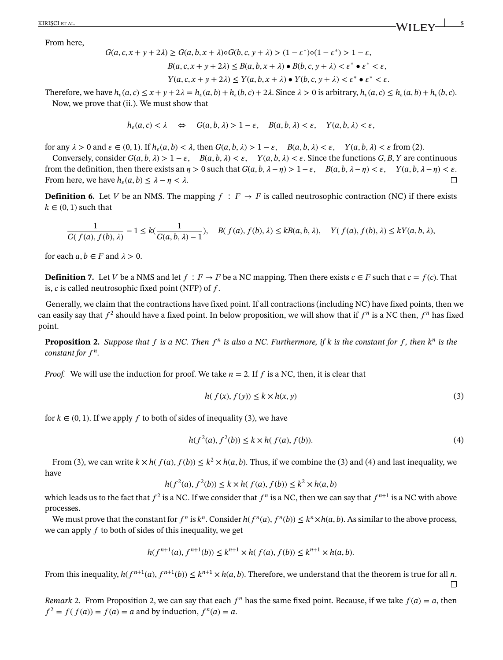KIRIŞCI ET AL. **5**  $\frac{1}{2}$  **S** 

From here,

 $G(a, c, x + y + 2\lambda) \ge G(a, b, x + \lambda) \circ G(b, c, y + \lambda) > (1 - \varepsilon^*) \circ (1 - \varepsilon^*) > 1 - \varepsilon$  $B(a, c, x + y + 2\lambda) \le B(a, b, x + \lambda) \cdot B(b, c, y + \lambda) \le \varepsilon^* \cdot \varepsilon^* \le \varepsilon$ ,  $Y(a, c, x + y + 2\lambda) \leq Y(a, b, x + \lambda) \bullet Y(b, c, y + \lambda) \leq \varepsilon^* \bullet \varepsilon^* \leq \varepsilon.$ 

Therefore, we have  $h_{\epsilon}(a, c) \leq x + y + 2\lambda = h_{\epsilon}(a, b) + h_{\epsilon}(b, c) + 2\lambda$ . Since  $\lambda > 0$  is arbitrary,  $h_{\epsilon}(a, c) \leq h_{\epsilon}(a, b) + h_{\epsilon}(b, c)$ . Now, we prove that (ii.). We must show that

$$
h_{\varepsilon}(a,c) < \lambda \quad \Leftrightarrow \quad G(a,b,\lambda) > 1 - \varepsilon, \quad B(a,b,\lambda) < \varepsilon, \quad Y(a,b,\lambda) < \varepsilon,
$$

for any  $\lambda > 0$  and  $\varepsilon \in (0, 1)$ . If  $h_{\varepsilon}(a, b) < \lambda$ , then  $G(a, b, \lambda) > 1 - \varepsilon$ ,  $B(a, b, \lambda) < \varepsilon$ ,  $Y(a, b, \lambda) < \varepsilon$  from (2).

Conversely, consider  $G(a, b, \lambda) > 1 - \varepsilon$ ,  $B(a, b, \lambda) < \varepsilon$ ,  $Y(a, b, \lambda) < \varepsilon$ . Since the functions  $G, B, Y$  are continuous from the definition, then there exists an  $\eta > 0$  such that  $G(a, b, \lambda - \eta) > 1 - \varepsilon$ ,  $B(a, b, \lambda - \eta) < \varepsilon$ ,  $Y(a, b, \lambda - \eta) < \varepsilon$ . From here, we have  $h_{\varepsilon}(a, b) \leq \lambda - \eta < \lambda$ .  $\Box$ 

**Definition 6.** Let *V* be an NMS. The mapping  $f : F \to F$  is called neutrosophic contraction (NC) if there exists  $k \in (0, 1)$  such that

$$
\frac{1}{G(f(a), f(b), \lambda)} - 1 \le k\left(\frac{1}{G(a, b, \lambda) - 1}\right), \quad B(f(a), f(b), \lambda) \le kB(a, b, \lambda), \quad Y(f(a), f(b), \lambda) \le kY(a, b, \lambda),
$$

for each  $a, b \in F$  and  $\lambda > 0$ .

**Definition 7.** Let *V* be a NMS and let  $f : F \to F$  be a NC mapping. Then there exists  $c \in F$  such that  $c = f(c)$ . That is,  $c$  is called neutrosophic fixed point (NFP) of  $f$ .

Generally, we claim that the contractions have fixed point. If all contractions (including NC) have fixed points, then we can easily say that  $f^2$  should have a fixed point. In below proposition, we will show that if  $f^n$  is a NC then,  $f^n$  has fixed point.

**Proposition 2.** Suppose that f is a NC. Then  $f^n$  is also a NC. Furthermore, if k is the constant for f, then  $k^n$  is the *constant for*  $f^n$ .

*Proof.* We will use the induction for proof. We take  $n = 2$ . If f is a NC, then, it is clear that

$$
h(f(x), f(y)) \le k \times h(x, y) \tag{3}
$$

for  $k \in (0, 1)$ . If we apply f to both of sides of inequality (3), we have

$$
h(f^{2}(a), f^{2}(b)) \le k \times h(f(a), f(b)).
$$
\n(4)

From (3), we can write  $k \times h(f(a), f(b)) \le k^2 \times h(a, b)$ . Thus, if we combine the (3) and (4) and last inequality, we have

$$
h(f^{2}(a), f^{2}(b)) \le k \times h(f(a), f(b)) \le k^{2} \times h(a, b)
$$

which leads us to the fact that  $f^2$  is a NC. If we consider that  $f^n$  is a NC, then we can say that  $f^{n+1}$  is a NC with above processes.

We must prove that the constant for  $f^n$  is  $k^n$ . Consider  $h(f^n(a), f^n(b)) \leq k^n \times h(a, b)$ . As similar to the above process, we can apply  $f$  to both of sides of this inequality, we get

$$
h(f^{n+1}(a), f^{n+1}(b)) \le k^{n+1} \times h(f(a), f(b)) \le k^{n+1} \times h(a, b).
$$

From this inequality,  $h(f^{n+1}(a), f^{n+1}(b)) \leq k^{n+1} \times h(a, b)$ . Therefore, we understand that the theorem is true for all *n*.  $\Box$ 

*Remark* 2. From Proposition 2, we can say that each  $f^n$  has the same fixed point. Because, if we take  $f(a) = a$ , then  $f^{2} = f(f(a)) = f(a) = a$  and by induction,  $f^{n}(a) = a$ .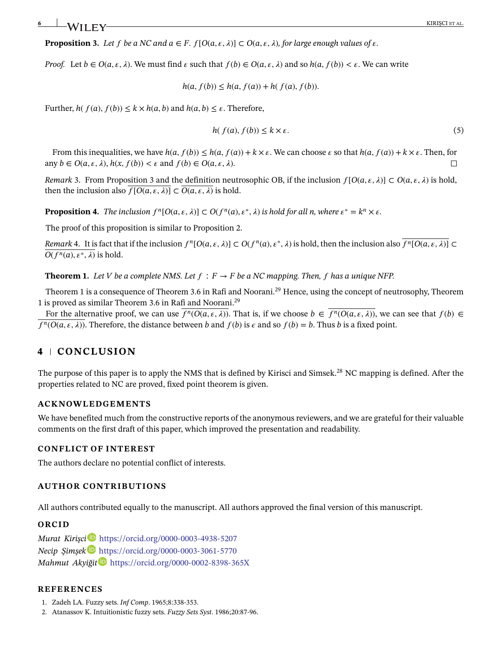**Proposition 3.** Let f be a NC and  $a \in F$ .  $f[O(a, \varepsilon, \lambda)] \subset O(a, \varepsilon, \lambda)$ , for large enough values of  $\varepsilon$ .

*Proof.* Let  $b \in O(a, \varepsilon, \lambda)$ . We must find  $\varepsilon$  such that  $f(b) \in O(a, \varepsilon, \lambda)$  and so  $h(a, f(b)) \leq \varepsilon$ . We can write

 $h(a, f(b)) \leq h(a, f(a)) + h(f(a), f(b)).$ 

Further,  $h(f(a), f(b)) \le k \times h(a, b)$  and  $h(a, b) \le \varepsilon$ . Therefore,

$$
h(f(a), f(b)) \le k \times \varepsilon. \tag{5}
$$

From this inequalities, we have  $h(a, f(b)) \leq h(a, f(a)) + k \times \varepsilon$ . We can choose  $\varepsilon$  so that  $h(a, f(a)) + k \times \varepsilon$ . Then, for any  $b \in O(a, \varepsilon, \lambda)$ ,  $h(x, f(b)) < \varepsilon$  and  $f(b) \in O(a, \varepsilon, \lambda)$ .  $\Box$ 

*Remark* 3. From Proposition 3 and the definition neutrosophic OB, if the inclusion  $f[O(a,\varepsilon,\lambda)] \subset O(a,\varepsilon,\lambda)$  is hold, then the inclusion also  $\overline{f[O(a, \varepsilon, \lambda)]} \subset \overline{O(a, \varepsilon, \lambda)}$  is hold.

**Proposition 4.** *The inclusion*  $f^n[O(a, \varepsilon, \lambda)] \subset O(f^n(a), \varepsilon^*, \lambda)$  *is hold for all n, where*  $\varepsilon^* = k^n \times \varepsilon$ *.* 

The proof of this proposition is similar to Proposition 2.

Remark 4. It is fact that if the inclusion  $f^n[O(a,\varepsilon,\lambda)] \subset O(f^n(a),\varepsilon^*,\lambda)$  is hold, then the inclusion also  $\overline{f^n[O(a,\varepsilon,\lambda)]} \subset$  $\overline{O(f^n(a), \varepsilon^*, \lambda)}$  is hold.

**Theorem 1.** Let V be a complete NMS. Let  $f : F \to F$  be a NC mapping. Then, f has a unique NFP.

Theorem 1 is a consequence of Theorem 3.6 in Rafi and Noorani.<sup>29</sup> Hence, using the concept of neutrosophy, Theorem 1 is proved as similar Theorem 3.6 in Rafi and Noorani.29

For the alternative proof, we can use  $\overline{f^n(O(a,\varepsilon,\lambda))}$ . That is, if we choose  $b \in \overline{f^n(O(a,\varepsilon,\lambda))}$ , we can see that  $f(b) \in$  $f^n(O(a, \varepsilon, \lambda))$ . Therefore, the distance between *b* and  $f(b)$  is  $\varepsilon$  and so  $f(b) = b$ . Thus *b* is a fixed point.

# **4 CONCLUSION**

The purpose of this paper is to apply the NMS that is defined by Kirisci and Simsek.<sup>28</sup> NC mapping is defined. After the properties related to NC are proved, fixed point theorem is given.

### **ACKNOWLEDGEMENTS**

We have benefited much from the constructive reports of the anonymous reviewers, and we are grateful for their valuable comments on the first draft of this paper, which improved the presentation and readability.

#### **CONFLICT OF INTEREST**

The authors declare no potential conflict of interests.

#### **AUTHOR CONTRIBUTIONS**

All authors contributed equally to the manuscript. All authors approved the final version of this manuscript.

#### **ORCID**

*Murat Kiri¸sc[i](https://orcid.org/0000-0003-4938-5207)* <https://orcid.org/0000-0003-4938-5207> *Necip ¸Sim¸sek* <https://orcid.org/0000-0003-3061-5770> *Mahmut Akyigit ˘* <https://orcid.org/0000-0002-8398-365X>

### **REFERENCES**

- 1. Zadeh LA. Fuzzy sets. *Inf Comp*. 1965;8:338-353.
- 2. Atanassov K. Intuitionistic fuzzy sets. *Fuzzy Sets Syst*. 1986;20:87-96.